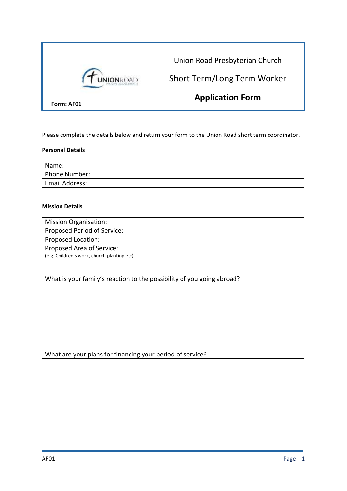

Please complete the details below and return your form to the Union Road short term coordinator.

## **Personal Details**

| Name:                 |  |
|-----------------------|--|
| Phone Number:         |  |
| <b>Email Address:</b> |  |

## **Mission Details**

| <b>Mission Organisation:</b>                |  |
|---------------------------------------------|--|
| Proposed Period of Service:                 |  |
| Proposed Location:                          |  |
| Proposed Area of Service:                   |  |
| (e.g. Children's work, church planting etc) |  |

What is your family's reaction to the possibility of you going abroad?

What are your plans for financing your period of service?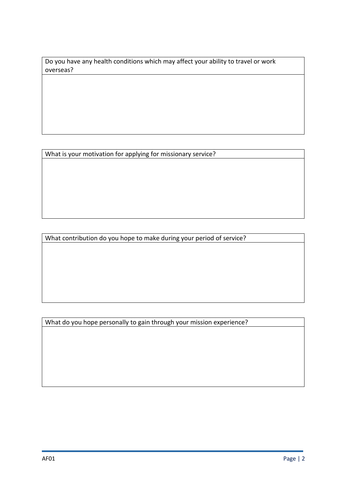Do you have any health conditions which may affect your ability to travel or work overseas?

What is your motivation for applying for missionary service?

What contribution do you hope to make during your period of service?

What do you hope personally to gain through your mission experience?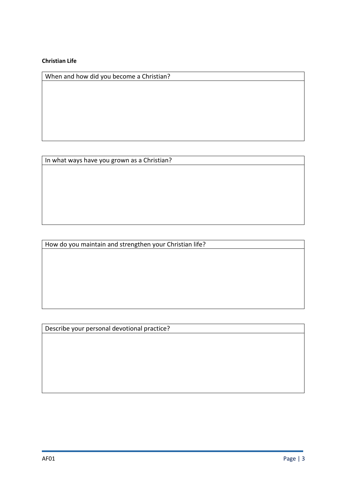## **Christian Life**

When and how did you become a Christian?

In what ways have you grown as a Christian?

How do you maintain and strengthen your Christian life?

Describe your personal devotional practice?